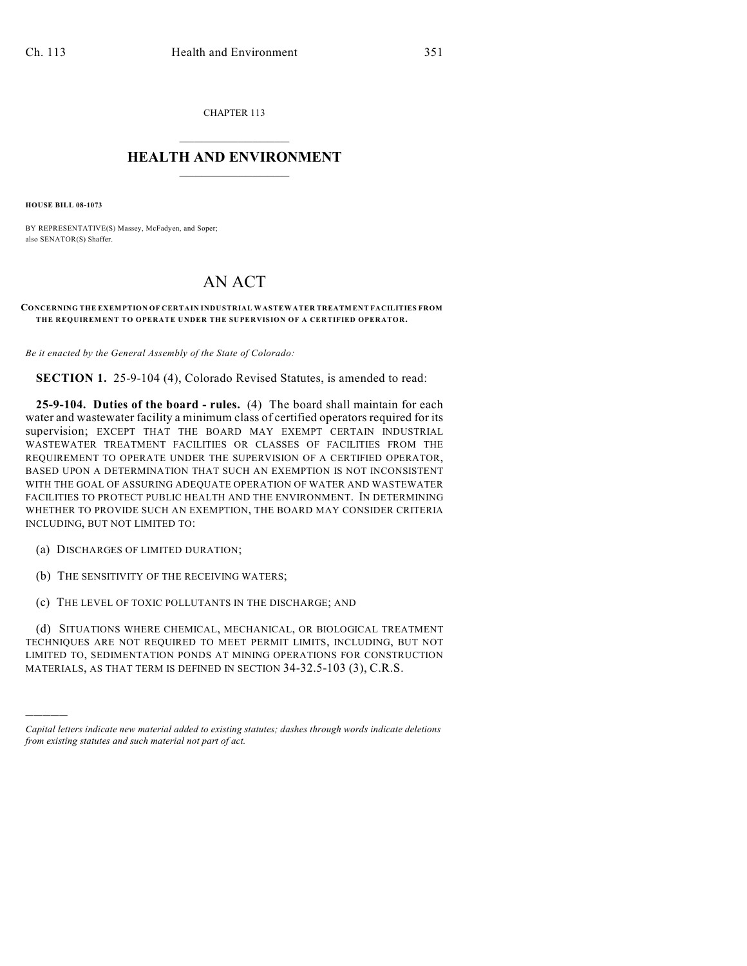CHAPTER 113  $\overline{\phantom{a}}$  . The set of the set of the set of the set of the set of the set of the set of the set of the set of the set of the set of the set of the set of the set of the set of the set of the set of the set of the set o

## **HEALTH AND ENVIRONMENT**  $\_$

**HOUSE BILL 08-1073**

)))))

BY REPRESENTATIVE(S) Massey, McFadyen, and Soper; also SENATOR(S) Shaffer.

## AN ACT

## **CONCERNING THE EXEMPTION OF CERTAIN INDUSTRIAL WASTEWATER TREATMENT FACILITIES FROM THE REQUIREMENT TO OPERATE UNDER THE SUPERVISION OF A CERTIFIED OPERATOR.**

*Be it enacted by the General Assembly of the State of Colorado:*

**SECTION 1.** 25-9-104 (4), Colorado Revised Statutes, is amended to read:

**25-9-104. Duties of the board - rules.** (4) The board shall maintain for each water and wastewater facility a minimum class of certified operators required for its supervision; EXCEPT THAT THE BOARD MAY EXEMPT CERTAIN INDUSTRIAL WASTEWATER TREATMENT FACILITIES OR CLASSES OF FACILITIES FROM THE REQUIREMENT TO OPERATE UNDER THE SUPERVISION OF A CERTIFIED OPERATOR, BASED UPON A DETERMINATION THAT SUCH AN EXEMPTION IS NOT INCONSISTENT WITH THE GOAL OF ASSURING ADEQUATE OPERATION OF WATER AND WASTEWATER FACILITIES TO PROTECT PUBLIC HEALTH AND THE ENVIRONMENT. IN DETERMINING WHETHER TO PROVIDE SUCH AN EXEMPTION, THE BOARD MAY CONSIDER CRITERIA INCLUDING, BUT NOT LIMITED TO:

(a) DISCHARGES OF LIMITED DURATION;

(b) THE SENSITIVITY OF THE RECEIVING WATERS;

(c) THE LEVEL OF TOXIC POLLUTANTS IN THE DISCHARGE; AND

(d) SITUATIONS WHERE CHEMICAL, MECHANICAL, OR BIOLOGICAL TREATMENT TECHNIQUES ARE NOT REQUIRED TO MEET PERMIT LIMITS, INCLUDING, BUT NOT LIMITED TO, SEDIMENTATION PONDS AT MINING OPERATIONS FOR CONSTRUCTION MATERIALS, AS THAT TERM IS DEFINED IN SECTION 34-32.5-103 (3), C.R.S.

*Capital letters indicate new material added to existing statutes; dashes through words indicate deletions from existing statutes and such material not part of act.*